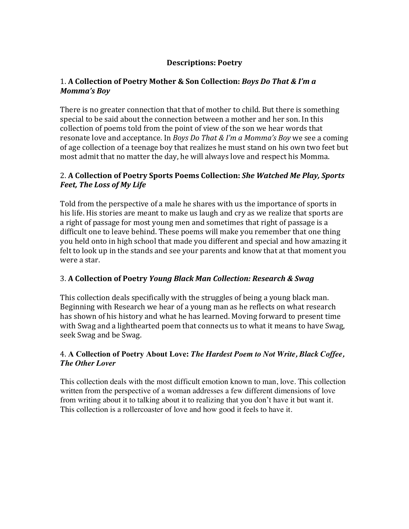# **Descriptions: Poetry**

## 1. A Collection of Poetry Mother & Son Collection: *Boys Do That & I'm a Momma's Boy*

There is no greater connection that that of mother to child. But there is something special to be said about the connection between a mother and her son. In this collection of poems told from the point of view of the son we hear words that resonate love and acceptance. In *Boys Do That & I'm a Momma's Boy* we see a coming of age collection of a teenage boy that realizes he must stand on his own two feet but most admit that no matter the day, he will always love and respect his Momma.

## 2. A Collection of Poetry Sports Poems Collection: *She Watched Me Play, Sports Feet, The Loss of My Life*

Told from the perspective of a male he shares with us the importance of sports in his life. His stories are meant to make us laugh and cry as we realize that sports are a right of passage for most young men and sometimes that right of passage is a difficult one to leave behind. These poems will make you remember that one thing you held onto in high school that made you different and special and how amazing it felt to look up in the stands and see your parents and know that at that moment you were a star.

## 3. **A Collection of Poetry** *Young Black Man Collection: Research & Swag*

This collection deals specifically with the struggles of being a young black man. Beginning with Research we hear of a young man as he reflects on what research has shown of his history and what he has learned. Moving forward to present time with Swag and a lighthearted poem that connects us to what it means to have Swag, seek Swag and be Swag.

## 4. **A Collection of Poetry About Love:** *The Hardest Poem to Not Write, Black Coffee, The Other Lover*

This collection deals with the most difficult emotion known to man, love. This collection written from the perspective of a woman addresses a few different dimensions of love from writing about it to talking about it to realizing that you don't have it but want it. This collection is a rollercoaster of love and how good it feels to have it.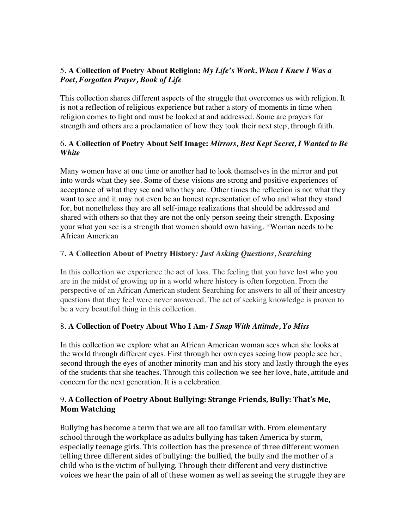# 5. **A Collection of Poetry About Religion:** *My Life's Work, When I Knew I Was a Poet, Forgotten Prayer, Book of Life*

This collection shares different aspects of the struggle that overcomes us with religion. It is not a reflection of religious experience but rather a story of moments in time when religion comes to light and must be looked at and addressed. Some are prayers for strength and others are a proclamation of how they took their next step, through faith.

## 6. **A Collection of Poetry About Self Image:** *Mirrors, Best Kept Secret, I Wanted to Be White*

Many women have at one time or another had to look themselves in the mirror and put into words what they see. Some of these visions are strong and positive experiences of acceptance of what they see and who they are. Other times the reflection is not what they want to see and it may not even be an honest representation of who and what they stand for, but nonetheless they are all self-image realizations that should be addressed and shared with others so that they are not the only person seeing their strength. Exposing your what you see is a strength that women should own having. \*Woman needs to be African American

# 7. **A Collection About of Poetry History***: Just Asking Questions, Searching*

In this collection we experience the act of loss. The feeling that you have lost who you are in the midst of growing up in a world where history is often forgotten. From the perspective of an African American student Searching for answers to all of their ancestry questions that they feel were never answered. The act of seeking knowledge is proven to be a very beautiful thing in this collection.

## 8. **A Collection of Poetry About Who I Am***- I Snap With Attitude, Yo Miss*

In this collection we explore what an African American woman sees when she looks at the world through different eyes. First through her own eyes seeing how people see her, second through the eyes of another minority man and his story and lastly through the eyes of the students that she teaches. Through this collection we see her love, hate, attitude and concern for the next generation. It is a celebration.

# 9. A Collection of Poetry About Bullying: Strange Friends, Bully: That's Me, **Mom Watching**

Bullying has become a term that we are all too familiar with. From elementary school through the workplace as adults bullying has taken America by storm, especially teenage girls. This collection has the presence of three different women telling three different sides of bullying: the bullied, the bully and the mother of a child who is the victim of bullying. Through their different and very distinctive voices we hear the pain of all of these women as well as seeing the struggle they are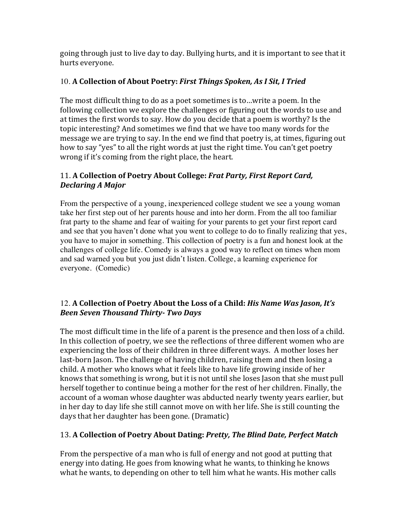going through just to live day to day. Bullying hurts, and it is important to see that it hurts everyone.

# 10. A Collection of About Poetry: First Things Spoken, As I Sit, I Tried

The most difficult thing to do as a poet sometimes is to...write a poem. In the following collection we explore the challenges or figuring out the words to use and at times the first words to say. How do you decide that a poem is worthy? Is the topic interesting? And sometimes we find that we have too many words for the message we are trying to say. In the end we find that poetry is, at times, figuring out how to say "yes" to all the right words at just the right time. You can't get poetry wrong if it's coming from the right place, the heart.

# 11. A Collection of Poetry About College: Frat Party, First Report Card, *Declaring A Major*

From the perspective of a young, inexperienced college student we see a young woman take her first step out of her parents house and into her dorm. From the all too familiar frat party to the shame and fear of waiting for your parents to get your first report card and see that you haven't done what you went to college to do to finally realizing that yes, you have to major in something. This collection of poetry is a fun and honest look at the challenges of college life. Comedy is always a good way to reflect on times when mom and sad warned you but you just didn't listen. College, a learning experience for everyone. (Comedic)

# 12. A Collection of Poetry About the Loss of a Child: *His Name Was Jason, It's Been Seven Thousand Thirty- Two Days*

The most difficult time in the life of a parent is the presence and then loss of a child. In this collection of poetry, we see the reflections of three different women who are experiencing the loss of their children in three different ways. A mother loses her last-born Jason. The challenge of having children, raising them and then losing a child. A mother who knows what it feels like to have life growing inside of her knows that something is wrong, but it is not until she loses Jason that she must pull herself together to continue being a mother for the rest of her children. Finally, the account of a woman whose daughter was abducted nearly twenty years earlier, but in her day to day life she still cannot move on with her life. She is still counting the days that her daughter has been gone. (Dramatic)

# 13. A Collection of Poetry About Dating: Pretty, The Blind Date, Perfect Match

From the perspective of a man who is full of energy and not good at putting that energy into dating. He goes from knowing what he wants, to thinking he knows what he wants, to depending on other to tell him what he wants. His mother calls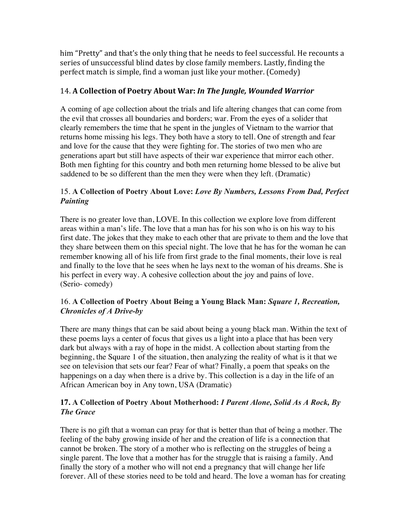him "Pretty" and that's the only thing that he needs to feel successful. He recounts a series of unsuccessful blind dates by close family members. Lastly, finding the perfect match is simple, find a woman just like your mother. (Comedy)

# 14. A Collection of Poetry About War: In The Jungle, Wounded Warrior

A coming of age collection about the trials and life altering changes that can come from the evil that crosses all boundaries and borders; war. From the eyes of a solider that clearly remembers the time that he spent in the jungles of Vietnam to the warrior that returns home missing his legs. They both have a story to tell. One of strength and fear and love for the cause that they were fighting for. The stories of two men who are generations apart but still have aspects of their war experience that mirror each other. Both men fighting for this country and both men returning home blessed to be alive but saddened to be so different than the men they were when they left. (Dramatic)

## 15. **A Collection of Poetry About Love:** *Love By Numbers, Lessons From Dad, Perfect Painting*

There is no greater love than, LOVE. In this collection we explore love from different areas within a man's life. The love that a man has for his son who is on his way to his first date. The jokes that they make to each other that are private to them and the love that they share between them on this special night. The love that he has for the woman he can remember knowing all of his life from first grade to the final moments, their love is real and finally to the love that he sees when he lays next to the woman of his dreams. She is his perfect in every way. A cohesive collection about the joy and pains of love. (Serio- comedy)

# 16. **A Collection of Poetry About Being a Young Black Man:** *Square 1, Recreation, Chronicles of A Drive-by*

There are many things that can be said about being a young black man. Within the text of these poems lays a center of focus that gives us a light into a place that has been very dark but always with a ray of hope in the midst. A collection about starting from the beginning, the Square 1 of the situation, then analyzing the reality of what is it that we see on television that sets our fear? Fear of what? Finally, a poem that speaks on the happenings on a day when there is a drive by. This collection is a day in the life of an African American boy in Any town, USA (Dramatic)

## **17. A Collection of Poetry About Motherhood:** *I Parent Alone, Solid As A Rock, By The Grace*

There is no gift that a woman can pray for that is better than that of being a mother. The feeling of the baby growing inside of her and the creation of life is a connection that cannot be broken. The story of a mother who is reflecting on the struggles of being a single parent. The love that a mother has for the struggle that is raising a family. And finally the story of a mother who will not end a pregnancy that will change her life forever. All of these stories need to be told and heard. The love a woman has for creating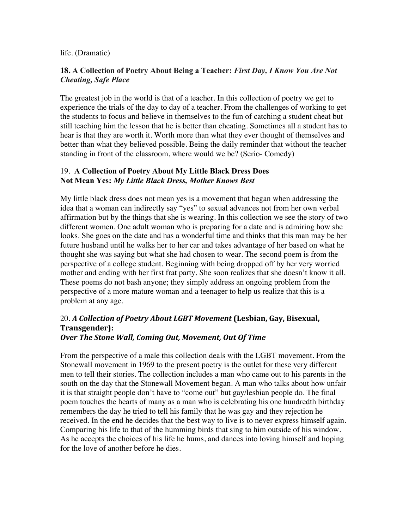#### life. (Dramatic)

#### **18. A Collection of Poetry About Being a Teacher:** *First Day, I Know You Are Not Cheating, Safe Place*

The greatest job in the world is that of a teacher. In this collection of poetry we get to experience the trials of the day to day of a teacher. From the challenges of working to get the students to focus and believe in themselves to the fun of catching a student cheat but still teaching him the lesson that he is better than cheating. Sometimes all a student has to hear is that they are worth it. Worth more than what they ever thought of themselves and better than what they believed possible. Being the daily reminder that without the teacher standing in front of the classroom, where would we be? (Serio- Comedy)

### 19. **A Collection of Poetry About My Little Black Dress Does Not Mean Yes:** *My Little Black Dress, Mother Knows Best*

My little black dress does not mean yes is a movement that began when addressing the idea that a woman can indirectly say "yes" to sexual advances not from her own verbal affirmation but by the things that she is wearing. In this collection we see the story of two different women. One adult woman who is preparing for a date and is admiring how she looks. She goes on the date and has a wonderful time and thinks that this man may be her future husband until he walks her to her car and takes advantage of her based on what he thought she was saying but what she had chosen to wear. The second poem is from the perspective of a college student. Beginning with being dropped off by her very worried mother and ending with her first frat party. She soon realizes that she doesn't know it all. These poems do not bash anyone; they simply address an ongoing problem from the perspective of a more mature woman and a teenager to help us realize that this is a problem at any age.

### 20. *A* Collection of Poetry *About LGBT Movement* (Lesbian, Gay, Bisexual, **Transgender): Over The Stone Wall, Coming Out, Movement, Out Of Time**

From the perspective of a male this collection deals with the LGBT movement. From the Stonewall movement in 1969 to the present poetry is the outlet for these very different men to tell their stories. The collection includes a man who came out to his parents in the south on the day that the Stonewall Movement began. A man who talks about how unfair it is that straight people don't have to "come out" but gay/lesbian people do. The final poem touches the hearts of many as a man who is celebrating his one hundredth birthday remembers the day he tried to tell his family that he was gay and they rejection he received. In the end he decides that the best way to live is to never express himself again. Comparing his life to that of the humming birds that sing to him outside of his window. As he accepts the choices of his life he hums, and dances into loving himself and hoping for the love of another before he dies.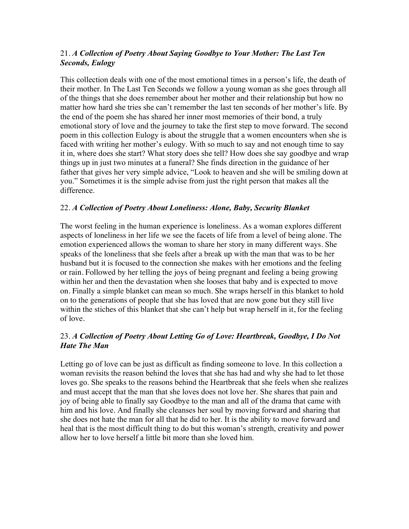# 21. *A Collection of Poetry About Saying Goodbye to Your Mother: The Last Ten Seconds, Eulogy*

This collection deals with one of the most emotional times in a person's life, the death of their mother. In The Last Ten Seconds we follow a young woman as she goes through all of the things that she does remember about her mother and their relationship but how no matter how hard she tries she can't remember the last ten seconds of her mother's life. By the end of the poem she has shared her inner most memories of their bond, a truly emotional story of love and the journey to take the first step to move forward. The second poem in this collection Eulogy is about the struggle that a women encounters when she is faced with writing her mother's eulogy. With so much to say and not enough time to say it in, where does she start? What story does she tell? How does she say goodbye and wrap things up in just two minutes at a funeral? She finds direction in the guidance of her father that gives her very simple advice, "Look to heaven and she will be smiling down at you." Sometimes it is the simple advise from just the right person that makes all the difference.

# 22. *A Collection of Poetry About Loneliness: Alone, Baby, Security Blanket*

The worst feeling in the human experience is loneliness. As a woman explores different aspects of loneliness in her life we see the facets of life from a level of being alone. The emotion experienced allows the woman to share her story in many different ways. She speaks of the loneliness that she feels after a break up with the man that was to be her husband but it is focused to the connection she makes with her emotions and the feeling or rain. Followed by her telling the joys of being pregnant and feeling a being growing within her and then the devastation when she looses that baby and is expected to move on. Finally a simple blanket can mean so much. She wraps herself in this blanket to hold on to the generations of people that she has loved that are now gone but they still live within the stiches of this blanket that she can't help but wrap herself in it, for the feeling of love.

# 23. *A Collection of Poetry About Letting Go of Love: Heartbreak, Goodbye, I Do Not Hate The Man*

Letting go of love can be just as difficult as finding someone to love. In this collection a woman revisits the reason behind the loves that she has had and why she had to let those loves go. She speaks to the reasons behind the Heartbreak that she feels when she realizes and must accept that the man that she loves does not love her. She shares that pain and joy of being able to finally say Goodbye to the man and all of the drama that came with him and his love. And finally she cleanses her soul by moving forward and sharing that she does not hate the man for all that he did to her. It is the ability to move forward and heal that is the most difficult thing to do but this woman's strength, creativity and power allow her to love herself a little bit more than she loved him.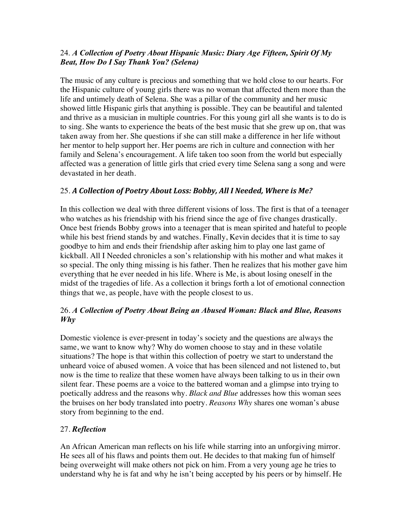# 24. *A Collection of Poetry About Hispanic Music: Diary Age Fifteen, Spirit Of My Beat, How Do I Say Thank You? (Selena)*

The music of any culture is precious and something that we hold close to our hearts. For the Hispanic culture of young girls there was no woman that affected them more than the life and untimely death of Selena. She was a pillar of the community and her music showed little Hispanic girls that anything is possible. They can be beautiful and talented and thrive as a musician in multiple countries. For this young girl all she wants is to do is to sing. She wants to experience the beats of the best music that she grew up on, that was taken away from her. She questions if she can still make a difference in her life without her mentor to help support her. Her poems are rich in culture and connection with her family and Selena's encouragement. A life taken too soon from the world but especially affected was a generation of little girls that cried every time Selena sang a song and were devastated in her death.

# 25. A Collection of Poetry About Loss: Bobby, All I Needed, Where is Me?

In this collection we deal with three different visions of loss. The first is that of a teenager who watches as his friendship with his friend since the age of five changes drastically. Once best friends Bobby grows into a teenager that is mean spirited and hateful to people while his best friend stands by and watches. Finally, Kevin decides that it is time to say goodbye to him and ends their friendship after asking him to play one last game of kickball. All I Needed chronicles a son's relationship with his mother and what makes it so special. The only thing missing is his father. Then he realizes that his mother gave him everything that he ever needed in his life. Where is Me, is about losing oneself in the midst of the tragedies of life. As a collection it brings forth a lot of emotional connection things that we, as people, have with the people closest to us.

# 26. *A Collection of Poetry About Being an Abused Woman: Black and Blue, Reasons Why*

Domestic violence is ever-present in today's society and the questions are always the same, we want to know why? Why do women choose to stay and in these volatile situations? The hope is that within this collection of poetry we start to understand the unheard voice of abused women. A voice that has been silenced and not listened to, but now is the time to realize that these women have always been talking to us in their own silent fear. These poems are a voice to the battered woman and a glimpse into trying to poetically address and the reasons why. *Black and Blue* addresses how this woman sees the bruises on her body translated into poetry. *Reasons Why* shares one woman's abuse story from beginning to the end.

## 27. *Reflection*

An African American man reflects on his life while starring into an unforgiving mirror. He sees all of his flaws and points them out. He decides to that making fun of himself being overweight will make others not pick on him. From a very young age he tries to understand why he is fat and why he isn't being accepted by his peers or by himself. He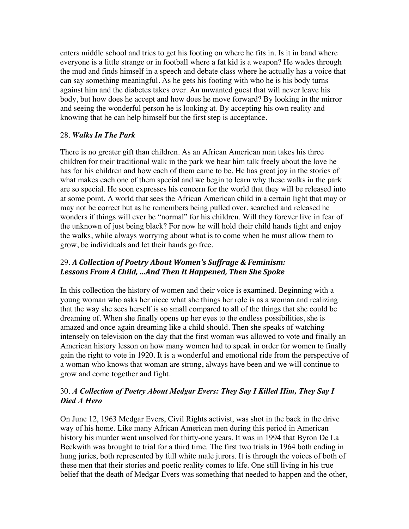enters middle school and tries to get his footing on where he fits in. Is it in band where everyone is a little strange or in football where a fat kid is a weapon? He wades through the mud and finds himself in a speech and debate class where he actually has a voice that can say something meaningful. As he gets his footing with who he is his body turns against him and the diabetes takes over. An unwanted guest that will never leave his body, but how does he accept and how does he move forward? By looking in the mirror and seeing the wonderful person he is looking at. By accepting his own reality and knowing that he can help himself but the first step is acceptance.

#### 28. *Walks In The Park*

There is no greater gift than children. As an African American man takes his three children for their traditional walk in the park we hear him talk freely about the love he has for his children and how each of them came to be. He has great joy in the stories of what makes each one of them special and we begin to learn why these walks in the park are so special. He soon expresses his concern for the world that they will be released into at some point. A world that sees the African American child in a certain light that may or may not be correct but as he remembers being pulled over, searched and released he wonders if things will ever be "normal" for his children. Will they forever live in fear of the unknown of just being black? For now he will hold their child hands tight and enjoy the walks, while always worrying about what is to come when he must allow them to grow, be individuals and let their hands go free.

# 29. A Collection of Poetry About Women's Suffrage & Feminism: Lessons From A Child, ...And Then It Happened, Then She Spoke

In this collection the history of women and their voice is examined. Beginning with a young woman who asks her niece what she things her role is as a woman and realizing that the way she sees herself is so small compared to all of the things that she could be dreaming of. When she finally opens up her eyes to the endless possibilities, she is amazed and once again dreaming like a child should. Then she speaks of watching intensely on television on the day that the first woman was allowed to vote and finally an American history lesson on how many women had to speak in order for women to finally gain the right to vote in 1920. It is a wonderful and emotional ride from the perspective of a woman who knows that woman are strong, always have been and we will continue to grow and come together and fight.

## 30. *A Collection of Poetry About Medgar Evers: They Say I Killed Him, They Say I Died A Hero*

On June 12, 1963 Medgar Evers, Civil Rights activist, was shot in the back in the drive way of his home. Like many African American men during this period in American history his murder went unsolved for thirty-one years. It was in 1994 that Byron De La Beckwith was brought to trial for a third time. The first two trials in 1964 both ending in hung juries, both represented by full white male jurors. It is through the voices of both of these men that their stories and poetic reality comes to life. One still living in his true belief that the death of Medgar Evers was something that needed to happen and the other,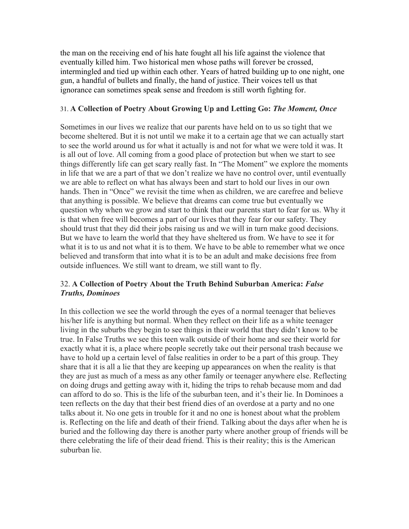the man on the receiving end of his hate fought all his life against the violence that eventually killed him. Two historical men whose paths will forever be crossed, intermingled and tied up within each other. Years of hatred building up to one night, one gun, a handful of bullets and finally, the hand of justice. Their voices tell us that ignorance can sometimes speak sense and freedom is still worth fighting for.

#### 31. **A Collection of Poetry About Growing Up and Letting Go:** *The Moment, Once*

Sometimes in our lives we realize that our parents have held on to us so tight that we become sheltered. But it is not until we make it to a certain age that we can actually start to see the world around us for what it actually is and not for what we were told it was. It is all out of love. All coming from a good place of protection but when we start to see things differently life can get scary really fast. In "The Moment" we explore the moments in life that we are a part of that we don't realize we have no control over, until eventually we are able to reflect on what has always been and start to hold our lives in our own hands. Then in "Once" we revisit the time when as children, we are carefree and believe that anything is possible. We believe that dreams can come true but eventually we question why when we grow and start to think that our parents start to fear for us. Why it is that when free will becomes a part of our lives that they fear for our safety. They should trust that they did their jobs raising us and we will in turn make good decisions. But we have to learn the world that they have sheltered us from. We have to see it for what it is to us and not what it is to them. We have to be able to remember what we once believed and transform that into what it is to be an adult and make decisions free from outside influences. We still want to dream, we still want to fly.

#### 32. **A Collection of Poetry About the Truth Behind Suburban America:** *False Truths, Dominoes*

In this collection we see the world through the eyes of a normal teenager that believes his/her life is anything but normal. When they reflect on their life as a white teenager living in the suburbs they begin to see things in their world that they didn't know to be true. In False Truths we see this teen walk outside of their home and see their world for exactly what it is, a place where people secretly take out their personal trash because we have to hold up a certain level of false realities in order to be a part of this group. They share that it is all a lie that they are keeping up appearances on when the reality is that they are just as much of a mess as any other family or teenager anywhere else. Reflecting on doing drugs and getting away with it, hiding the trips to rehab because mom and dad can afford to do so. This is the life of the suburban teen, and it's their lie. In Dominoes a teen reflects on the day that their best friend dies of an overdose at a party and no one talks about it. No one gets in trouble for it and no one is honest about what the problem is. Reflecting on the life and death of their friend. Talking about the days after when he is buried and the following day there is another party where another group of friends will be there celebrating the life of their dead friend. This is their reality; this is the American suburban lie.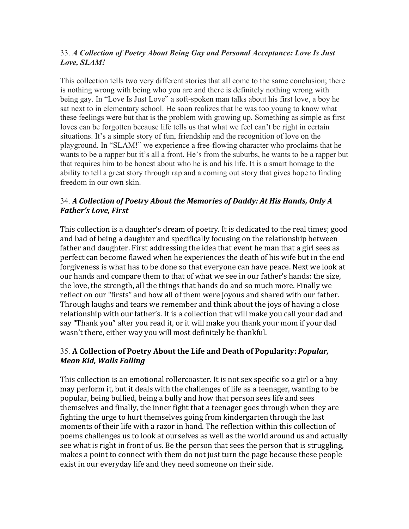# 33. *A Collection of Poetry About Being Gay and Personal Acceptance: Love Is Just Love, SLAM!*

This collection tells two very different stories that all come to the same conclusion; there is nothing wrong with being who you are and there is definitely nothing wrong with being gay. In "Love Is Just Love" a soft-spoken man talks about his first love, a boy he sat next to in elementary school. He soon realizes that he was too young to know what these feelings were but that is the problem with growing up. Something as simple as first loves can be forgotten because life tells us that what we feel can't be right in certain situations. It's a simple story of fun, friendship and the recognition of love on the playground. In "SLAM!" we experience a free-flowing character who proclaims that he wants to be a rapper but it's all a front. He's from the suburbs, he wants to be a rapper but that requires him to be honest about who he is and his life. It is a smart homage to the ability to tell a great story through rap and a coming out story that gives hope to finding freedom in our own skin.

# 34. *A* Collection of Poetry About the Memories of Daddy: At His Hands, Only A *Father's Love, First*

This collection is a daughter's dream of poetry. It is dedicated to the real times; good and bad of being a daughter and specifically focusing on the relationship between father and daughter. First addressing the idea that event he man that a girl sees as perfect can become flawed when he experiences the death of his wife but in the end forgiveness is what has to be done so that everyone can have peace. Next we look at our hands and compare them to that of what we see in our father's hands: the size, the love, the strength, all the things that hands do and so much more. Finally we reflect on our "firsts" and how all of them were joyous and shared with our father. Through laughs and tears we remember and think about the joys of having a close relationship with our father's. It is a collection that will make you call your dad and say "Thank you" after you read it, or it will make you thank your mom if your dad wasn't there, either way you will most definitely be thankful.

# 35. A Collection of Poetry About the Life and Death of Popularity: *Popular*, *Mean Kid, Walls Falling*

This collection is an emotional rollercoaster. It is not sex specific so a girl or a boy may perform it, but it deals with the challenges of life as a teenager, wanting to be popular, being bullied, being a bully and how that person sees life and sees themselves and finally, the inner fight that a teenager goes through when they are fighting the urge to hurt themselves going from kindergarten through the last moments of their life with a razor in hand. The reflection within this collection of poems challenges us to look at ourselves as well as the world around us and actually see what is right in front of us. Be the person that sees the person that is struggling, makes a point to connect with them do not just turn the page because these people exist in our everyday life and they need someone on their side.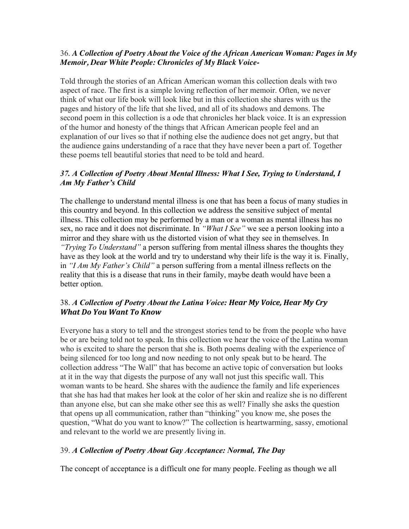## 36. *A Collection of Poetry About the Voice of the African American Woman: Pages in My Memoir, Dear White People: Chronicles of My Black Voice-*

Told through the stories of an African American woman this collection deals with two aspect of race. The first is a simple loving reflection of her memoir. Often, we never think of what our life book will look like but in this collection she shares with us the pages and history of the life that she lived, and all of its shadows and demons. The second poem in this collection is a ode that chronicles her black voice. It is an expression of the humor and honesty of the things that African American people feel and an explanation of our lives so that if nothing else the audience does not get angry, but that the audience gains understanding of a race that they have never been a part of. Together these poems tell beautiful stories that need to be told and heard.

# *37. A Collection of Poetry About Mental Illness: What I See, Trying to Understand, I Am My Father's Child*

The challenge to understand mental illness is one that has been a focus of many studies in this country and beyond. In this collection we address the sensitive subject of mental illness. This collection may be performed by a man or a woman as mental illness has no sex, no race and it does not discriminate. In *"What I See"* we see a person looking into a mirror and they share with us the distorted vision of what they see in themselves. In *"Trying To Understand"* a person suffering from mental illness shares the thoughts they have as they look at the world and try to understand why their life is the way it is. Finally, in *"I Am My Father's Child"* a person suffering from a mental illness reflects on the reality that this is a disease that runs in their family, maybe death would have been a better option.

# 38. *A Collection of Poetry About the Latina Voice: Hear My Voice, Hear My Cry What Do You Want To Know*

Everyone has a story to tell and the strongest stories tend to be from the people who have be or are being told not to speak. In this collection we hear the voice of the Latina woman who is excited to share the person that she is. Both poems dealing with the experience of being silenced for too long and now needing to not only speak but to be heard. The collection address "The Wall" that has become an active topic of conversation but looks at it in the way that digests the purpose of any wall not just this specific wall. This woman wants to be heard. She shares with the audience the family and life experiences that she has had that makes her look at the color of her skin and realize she is no different than anyone else, but can she make other see this as well? Finally she asks the question that opens up all communication, rather than "thinking" you know me, she poses the question, "What do you want to know?" The collection is heartwarming, sassy, emotional and relevant to the world we are presently living in.

# 39. *A Collection of Poetry About Gay Acceptance: Normal, The Day*

The concept of acceptance is a difficult one for many people. Feeling as though we all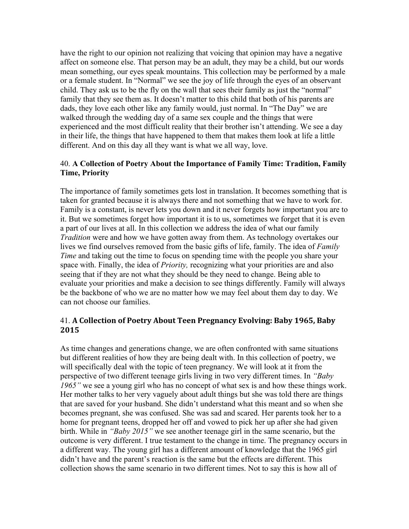have the right to our opinion not realizing that voicing that opinion may have a negative affect on someone else. That person may be an adult, they may be a child, but our words mean something, our eyes speak mountains. This collection may be performed by a male or a female student. In "Normal" we see the joy of life through the eyes of an observant child. They ask us to be the fly on the wall that sees their family as just the "normal" family that they see them as. It doesn't matter to this child that both of his parents are dads, they love each other like any family would, just normal. In "The Day" we are walked through the wedding day of a same sex couple and the things that were experienced and the most difficult reality that their brother isn't attending. We see a day in their life, the things that have happened to them that makes them look at life a little different. And on this day all they want is what we all way, love.

#### 40. **A Collection of Poetry About the Importance of Family Time: Tradition, Family Time, Priority**

The importance of family sometimes gets lost in translation. It becomes something that is taken for granted because it is always there and not something that we have to work for. Family is a constant, is never lets you down and it never forgets how important you are to it. But we sometimes forget how important it is to us, sometimes we forget that it is even a part of our lives at all. In this collection we address the idea of what our family *Tradition* were and how we have gotten away from them. As technology overtakes our lives we find ourselves removed from the basic gifts of life, family. The idea of *Family Time* and taking out the time to focus on spending time with the people you share your space with. Finally, the idea of *Priority,* recognizing what your priorities are and also seeing that if they are not what they should be they need to change. Being able to evaluate your priorities and make a decision to see things differently. Family will always be the backbone of who we are no matter how we may feel about them day to day. We can not choose our families.

## 41. **A Collection of Poetry About Teen Pregnancy Evolving: Baby 1965, Baby 2015**

As time changes and generations change, we are often confronted with same situations but different realities of how they are being dealt with. In this collection of poetry, we will specifically deal with the topic of teen pregnancy. We will look at it from the perspective of two different teenage girls living in two very different times. In *"Baby 1965"* we see a young girl who has no concept of what sex is and how these things work. Her mother talks to her very vaguely about adult things but she was told there are things that are saved for your husband. She didn't understand what this meant and so when she becomes pregnant, she was confused. She was sad and scared. Her parents took her to a home for pregnant teens, dropped her off and vowed to pick her up after she had given birth. While in *"Baby 2015"* we see another teenage girl in the same scenario, but the outcome is very different. I true testament to the change in time. The pregnancy occurs in a different way. The young girl has a different amount of knowledge that the 1965 girl didn't have and the parent's reaction is the same but the effects are different. This collection shows the same scenario in two different times. Not to say this is how all of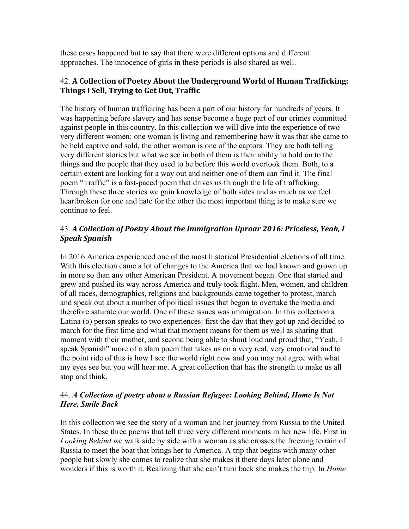these cases happened but to say that there were different options and different approaches. The innocence of girls in these periods is also shared as well.

# 42. A Collection of Poetry About the Underground World of Human Trafficking: **Things I Sell, Trying to Get Out, Traffic**

The history of human trafficking has been a part of our history for hundreds of years. It was happening before slavery and has sense become a huge part of our crimes committed against people in this country. In this collection we will dive into the experience of two very different women: one woman is living and remembering how it was that she came to be held captive and sold, the other woman is one of the captors. They are both telling very different stories but what we see in both of them is their ability to hold on to the things and the people that they used to be before this world overtook them. Both, to a certain extent are looking for a way out and neither one of them can find it. The final poem "Traffic" is a fast-paced poem that drives us through the life of trafficking. Through these three stories we gain knowledge of both sides and as much as we feel heartbroken for one and hate for the other the most important thing is to make sure we continue to feel.

# 43. *A* Collection of Poetry About the Immigration Uproar 2016: Priceless, Yeah, I *Speak Spanish*

In 2016 America experienced one of the most historical Presidential elections of all time. With this election came a lot of changes to the America that we had known and grown up in more so than any other American President. A movement began. One that started and grew and pushed its way across America and truly took flight. Men, women, and children of all races, demographics, religions and backgrounds came together to protest, march and speak out about a number of political issues that began to overtake the media and therefore saturate our world. One of these issues was immigration. In this collection a Latina (o) person speaks to two experiences: first the day that they got up and decided to march for the first time and what that moment means for them as well as sharing that moment with their mother, and second being able to shout loud and proud that, "Yeah, I speak Spanish" more of a slam poem that takes us on a very real, very emotional and to the point ride of this is how I see the world right now and you may not agree with what my eyes see but you will hear me. A great collection that has the strength to make us all stop and think.

## 44. *A Collection of poetry about a Russian Refugee: Looking Behind, Home Is Not Here, Smile Back*

In this collection we see the story of a woman and her journey from Russia to the United States. In these three poems that tell three very different moments in her new life. First in *Looking Behind* we walk side by side with a woman as she crosses the freezing terrain of Russia to meet the boat that brings her to America. A trip that begins with many other people but slowly she comes to realize that she makes it there days later alone and wonders if this is worth it. Realizing that she can't turn back she makes the trip. In *Home*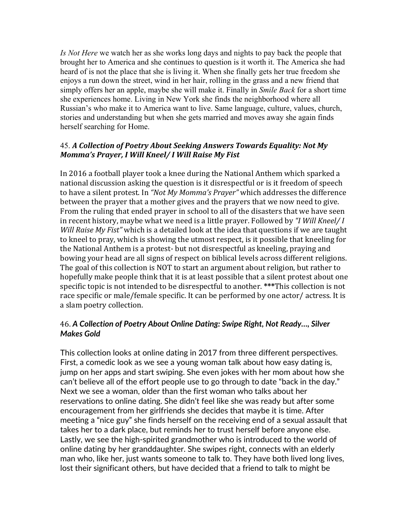*Is Not Here* we watch her as she works long days and nights to pay back the people that brought her to America and she continues to question is it worth it. The America she had heard of is not the place that she is living it. When she finally gets her true freedom she enjoys a run down the street, wind in her hair, rolling in the grass and a new friend that simply offers her an apple, maybe she will make it. Finally in *Smile Back* for a short time she experiences home. Living in New York she finds the neighborhood where all Russian's who make it to America want to live. Same language, culture, values, church, stories and understanding but when she gets married and moves away she again finds herself searching for Home.

## 45. A Collection of Poetry About Seeking Answers Towards Equality: Not My *Momma's Prayer, I Will Kneel/ I Will Raise My Fist*

In 2016 a football player took a knee during the National Anthem which sparked a national discussion asking the question is it disrespectful or is it freedom of speech to have a silent protest. In "Not My Momma's Prayer" which addresses the difference between the prayer that a mother gives and the prayers that we now need to give. From the ruling that ended prayer in school to all of the disasters that we have seen in recent history, maybe what we need is a little prayer. Followed by "*I Will Kneel/ I Will Raise My Fist"* which is a detailed look at the idea that questions if we are taught to kneel to pray, which is showing the utmost respect, is it possible that kneeling for the National Anthem is a protest- but not disrespectful as kneeling, praying and bowing your head are all signs of respect on biblical levels across different religions. The goal of this collection is NOT to start an argument about religion, but rather to hopefully make people think that it is at least possible that a silent protest about one specific topic is not intended to be disrespectful to another. \*\*\*This collection is not race specific or male/female specific. It can be performed by one actor/ actress. It is a slam poetry collection.

# 46. *A Collection of Poetry About Online Dating: Swipe Right, Not Ready…, Silver Makes Gold*

This collection looks at online dating in 2017 from three different perspectives. First, a comedic look as we see a young woman talk about how easy dating is, jump on her apps and start swiping. She even jokes with her mom about how she can't believe all of the effort people use to go through to date "back in the day." Next we see a woman, older than the first woman who talks about her reservations to online dating. She didn't feel like she was ready but after some encouragement from her girlfriends she decides that maybe it is time. After meeting a "nice guy" she finds herself on the receiving end of a sexual assault that takes her to a dark place, but reminds her to trust herself before anyone else. Lastly, we see the high-spirited grandmother who is introduced to the world of online dating by her granddaughter. She swipes right, connects with an elderly man who, like her, just wants someone to talk to. They have both lived long lives, lost their significant others, but have decided that a friend to talk to might be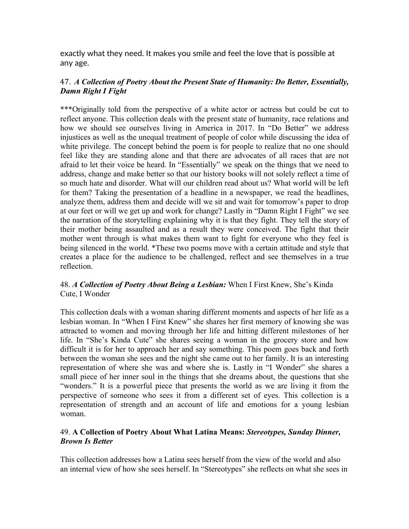exactly what they need. It makes you smile and feel the love that is possible at any age.

## 47. *A Collection of Poetry About the Present State of Humanity: Do Better, Essentially, Damn Right I Fight*

\*\*\*Originally told from the perspective of a white actor or actress but could be cut to reflect anyone. This collection deals with the present state of humanity, race relations and how we should see ourselves living in America in 2017. In "Do Better" we address injustices as well as the unequal treatment of people of color while discussing the idea of white privilege. The concept behind the poem is for people to realize that no one should feel like they are standing alone and that there are advocates of all races that are not afraid to let their voice be heard. In "Essentially" we speak on the things that we need to address, change and make better so that our history books will not solely reflect a time of so much hate and disorder. What will our children read about us? What world will be left for them? Taking the presentation of a headline in a newspaper, we read the headlines, analyze them, address them and decide will we sit and wait for tomorrow's paper to drop at our feet or will we get up and work for change? Lastly in "Damn Right I Fight" we see the narration of the storytelling explaining why it is that they fight. They tell the story of their mother being assaulted and as a result they were conceived. The fight that their mother went through is what makes them want to fight for everyone who they feel is being silenced in the world. \*These two poems move with a certain attitude and style that creates a place for the audience to be challenged, reflect and see themselves in a true reflection.

## 48. *A Collection of Poetry About Being a Lesbian:* When I First Knew, She's Kinda Cute, I Wonder

This collection deals with a woman sharing different moments and aspects of her life as a lesbian woman. In "When I First Knew" she shares her first memory of knowing she was attracted to women and moving through her life and hitting different milestones of her life. In "She's Kinda Cute" she shares seeing a woman in the grocery store and how difficult it is for her to approach her and say something. This poem goes back and forth between the woman she sees and the night she came out to her family. It is an interesting representation of where she was and where she is. Lastly in "I Wonder" she shares a small piece of her inner soul in the things that she dreams about, the questions that she "wonders." It is a powerful piece that presents the world as we are living it from the perspective of someone who sees it from a different set of eyes. This collection is a representation of strength and an account of life and emotions for a young lesbian woman.

#### 49. **A Collection of Poetry About What Latina Means:** *Stereotypes, Sunday Dinner, Brown Is Better*

This collection addresses how a Latina sees herself from the view of the world and also an internal view of how she sees herself. In "Stereotypes" she reflects on what she sees in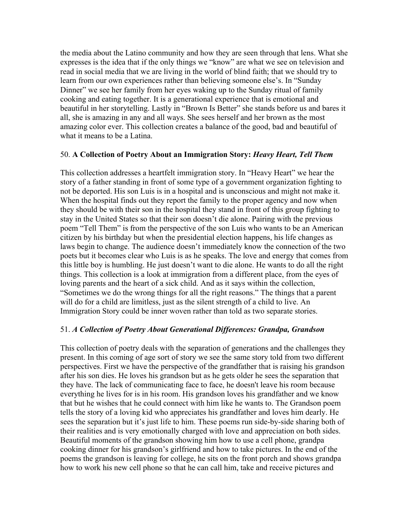the media about the Latino community and how they are seen through that lens. What she expresses is the idea that if the only things we "know" are what we see on television and read in social media that we are living in the world of blind faith; that we should try to learn from our own experiences rather than believing someone else's. In "Sunday Dinner" we see her family from her eyes waking up to the Sunday ritual of family cooking and eating together. It is a generational experience that is emotional and beautiful in her storytelling. Lastly in "Brown Is Better" she stands before us and bares it all, she is amazing in any and all ways. She sees herself and her brown as the most amazing color ever. This collection creates a balance of the good, bad and beautiful of what it means to be a Latina.

#### 50. **A Collection of Poetry About an Immigration Story:** *Heavy Heart, Tell Them*

This collection addresses a heartfelt immigration story. In "Heavy Heart" we hear the story of a father standing in front of some type of a government organization fighting to not be deported. His son Luis is in a hospital and is unconscious and might not make it. When the hospital finds out they report the family to the proper agency and now when they should be with their son in the hospital they stand in front of this group fighting to stay in the United States so that their son doesn't die alone. Pairing with the previous poem "Tell Them" is from the perspective of the son Luis who wants to be an American citizen by his birthday but when the presidential election happens, his life changes as laws begin to change. The audience doesn't immediately know the connection of the two poets but it becomes clear who Luis is as he speaks. The love and energy that comes from this little boy is humbling. He just doesn't want to die alone. He wants to do all the right things. This collection is a look at immigration from a different place, from the eyes of loving parents and the heart of a sick child. And as it says within the collection, "Sometimes we do the wrong things for all the right reasons." The things that a parent will do for a child are limitless, just as the silent strength of a child to live. An Immigration Story could be inner woven rather than told as two separate stories.

#### 51. *A Collection of Poetry About Generational Differences: Grandpa, Grandson*

This collection of poetry deals with the separation of generations and the challenges they present. In this coming of age sort of story we see the same story told from two different perspectives. First we have the perspective of the grandfather that is raising his grandson after his son dies. He loves his grandson but as he gets older he sees the separation that they have. The lack of communicating face to face, he doesn't leave his room because everything he lives for is in his room. His grandson loves his grandfather and we know that but he wishes that he could connect with him like he wants to. The Grandson poem tells the story of a loving kid who appreciates his grandfather and loves him dearly. He sees the separation but it's just life to him. These poems run side-by-side sharing both of their realities and is very emotionally charged with love and appreciation on both sides. Beautiful moments of the grandson showing him how to use a cell phone, grandpa cooking dinner for his grandson's girlfriend and how to take pictures. In the end of the poems the grandson is leaving for college, he sits on the front porch and shows grandpa how to work his new cell phone so that he can call him, take and receive pictures and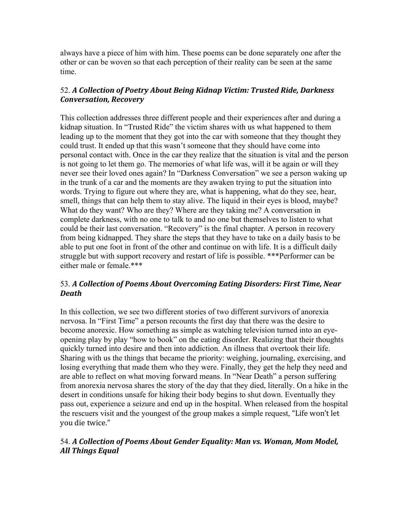always have a piece of him with him. These poems can be done separately one after the other or can be woven so that each perception of their reality can be seen at the same time.

# 52. *A* Collection of Poetry About Being Kidnap Victim: Trusted Ride, Darkness *Conversation, Recovery*

This collection addresses three different people and their experiences after and during a kidnap situation. In "Trusted Ride" the victim shares with us what happened to them leading up to the moment that they got into the car with someone that they thought they could trust. It ended up that this wasn't someone that they should have come into personal contact with. Once in the car they realize that the situation is vital and the person is not going to let them go. The memories of what life was, will it be again or will they never see their loved ones again? In "Darkness Conversation" we see a person waking up in the trunk of a car and the moments are they awaken trying to put the situation into words. Trying to figure out where they are, what is happening, what do they see, hear, smell, things that can help them to stay alive. The liquid in their eyes is blood, maybe? What do they want? Who are they? Where are they taking me? A conversation in complete darkness, with no one to talk to and no one but themselves to listen to what could be their last conversation. "Recovery" is the final chapter. A person in recovery from being kidnapped. They share the steps that they have to take on a daily basis to be able to put one foot in front of the other and continue on with life. It is a difficult daily struggle but with support recovery and restart of life is possible. \*\*\*Performer can be either male or female.\*\*\*

# 53. A Collection of Poems About Overcoming Eating Disorders: First Time, Near *Death*

In this collection, we see two different stories of two different survivors of anorexia nervosa. In "First Time" a person recounts the first day that there was the desire to become anorexic. How something as simple as watching television turned into an eyeopening play by play "how to book" on the eating disorder. Realizing that their thoughts quickly turned into desire and then into addiction. An illness that overtook their life. Sharing with us the things that became the priority: weighing, journaling, exercising, and losing everything that made them who they were. Finally, they get the help they need and are able to reflect on what moving forward means. In "Near Death" a person suffering from anorexia nervosa shares the story of the day that they died, literally. On a hike in the desert in conditions unsafe for hiking their body begins to shut down. Eventually they pass out, experience a seizure and end up in the hospital. When released from the hospital the rescuers visit and the youngest of the group makes a simple request, "Life won't let you die twice."

# 54. *A* Collection of Poems About Gender Equality: Man vs. Woman, Mom Model, *All Things Equal*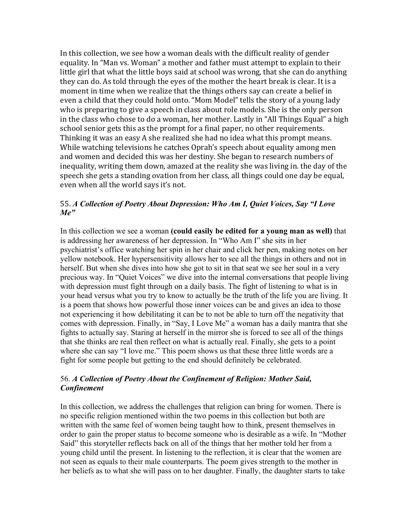In this collection, we see how a woman deals with the difficult reality of gender equality. In "Man vs. Woman" a mother and father must attempt to explain to their little girl that what the little boys said at school was wrong, that she can do anything they can do. As told through the eyes of the mother the heart break is clear. It is a moment in time when we realize that the things others say can create a belief in even a child that they could hold onto. "Mom Model" tells the story of a young lady who is preparing to give a speech in class about role models. She is the only person in the class who chose to do a woman, her mother. Lastly in "All Things Equal" a high school senior gets this as the prompt for a final paper, no other requirements. Thinking it was an easy A she realized she had no idea what this prompt means. While watching televisions he catches Oprah's speech about equality among men and women and decided this was her destiny. She began to research numbers of inequality, writing them down, amazed at the reality she was living in. the day of the speech she gets a standing ovation from her class, all things could one day be equal, even when all the world says it's not.

#### 55. *A Collection of Poetry About Depression: Who Am I, Quiet Voices, Say "I Love Me"*

In this collection we see a woman **(could easily be edited for a young man as well)** that is addressing her awareness of her depression. In "Who Am I" she sits in her psychiatrist's office watching her spin in her chair and click her pen, making notes on her yellow notebook. Her hypersensitivity allows her to see all the things in others and not in herself. But when she dives into how she got to sit in that seat we see her soul in a very precious way. In "Quiet Voices" we dive into the internal conversations that people living with depression must fight through on a daily basis. The fight of listening to what is in your head versus what you try to know to actually be the truth of the life you are living. It is a poem that shows how powerful those inner voices can be and gives an idea to those not experiencing it how debilitating it can be to not be able to turn off the negativity that comes with depression. Finally, in "Say, I Love Me" a woman has a daily mantra that she fights to actually say. Staring at herself in the mirror she is forced to see all of the things that she thinks are real then reflect on what is actually real. Finally, she gets to a point where she can say "I love me." This poem shows us that these three little words are a fight for some people but getting to the end should definitely be celebrated.

#### 56. *A Collection of Poetry About the Confinement of Religion: Mother Said, Confinement*

In this collection, we address the challenges that religion can bring for women. There is no specific religion mentioned within the two poems in this collection but both are written with the same feel of women being taught how to think, present themselves in order to gain the proper status to become someone who is desirable as a wife. In "Mother Said" this storyteller reflects back on all of the things that her mother told her from a young child until the present. In listening to the reflection, it is clear that the women are not seen as equals to their male counterparts. The poem gives strength to the mother in her beliefs as to what she will pass on to her daughter. Finally, the daughter starts to take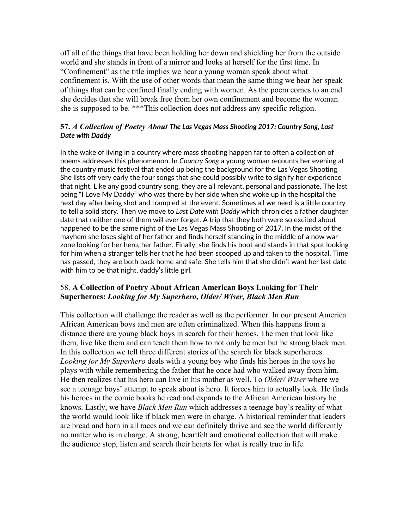off all of the things that have been holding her down and shielding her from the outside world and she stands in front of a mirror and looks at herself for the first time. In "Confinement" as the title implies we hear a young woman speak about what confinement is. With the use of other words that mean the same thing we hear her speak of things that can be confined finally ending with women. As the poem comes to an end she decides that she will break free from her own confinement and become the woman she is supposed to be. \*\*\*This collection does not address any specific religion.

#### **57.** *A Collection of Poetry About The Las Vegas Mass Shooting 2017: Country Song, Last Date with Daddy*

In the wake of living in a country where mass shooting happen far to often a collection of poems addresses this phenomenon. In *Country Song* a young woman recounts her evening at the country music festival that ended up being the background for the Las Vegas Shooting She lists off very early the four songs that she could possibly write to signify her experience that night. Like any good country song, they are all relevant, personal and passionate. The last being "I Love My Daddy" who was there by her side when she woke up in the hospital the next day after being shot and trampled at the event. Sometimes all we need is a little country to tell a solid story. Then we move to *Last Date with Daddy* which chronicles a father daughter date that neither one of them will ever forget. A trip that they both were so excited about happened to be the same night of the Las Vegas Mass Shooting of 2017. In the midst of the mayhem she loses sight of her father and finds herself standing in the middle of a now war zone looking for her hero, her father. Finally, she finds his boot and stands in that spot looking for him when a stranger tells her that he had been scooped up and taken to the hospital. Time has passed, they are both back home and safe. She tells him that she didn't want her last date with him to be that night, daddy's little girl.

## 58. **A Collection of Poetry About African American Boys Looking for Their Superheroes:** *Looking for My Superhero, Older/ Wiser, Black Men Run*

This collection will challenge the reader as well as the performer. In our present America African American boys and men are often criminalized. When this happens from a distance there are young black boys in search for their heroes. The men that look like them, live like them and can teach them how to not only be men but be strong black men. In this collection we tell three different stories of the search for black superheroes. *Looking for My Superhero* deals with a young boy who finds his heroes in the toys he plays with while remembering the father that he once had who walked away from him. He then realizes that his hero can live in his mother as well. To *Older/ Wiser* where we see a teenage boys' attempt to speak about is hero. It forces him to actually look. He finds his heroes in the comic books he read and expands to the African American history he knows. Lastly, we have *Black Men Run* which addresses a teenage boy's reality of what the world would look like if black men were in charge. A historical reminder that leaders are bread and born in all races and we can definitely thrive and see the world differently no matter who is in charge. A strong, heartfelt and emotional collection that will make the audience stop, listen and search their hearts for what is really true in life.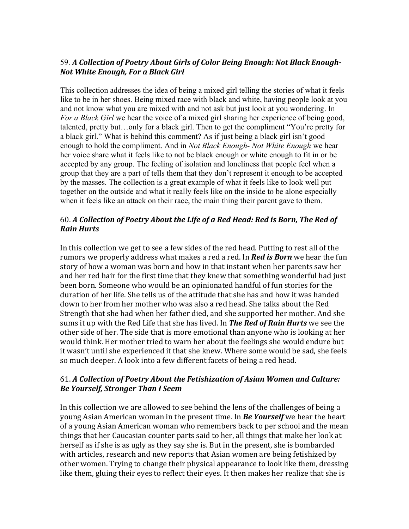# 59. A Collection of Poetry About Girls of Color Being Enough: Not Black Enough-*Not White Enough, For a Black Girl*

This collection addresses the idea of being a mixed girl telling the stories of what it feels like to be in her shoes. Being mixed race with black and white, having people look at you and not know what you are mixed with and not ask but just look at you wondering. In *For a Black Girl* we hear the voice of a mixed girl sharing her experience of being good, talented, pretty but…only for a black girl. Then to get the compliment "You're pretty for a black girl." What is behind this comment? As if just being a black girl isn't good enough to hold the compliment. And in *Not Black Enough- Not White Enough* we hear her voice share what it feels like to not be black enough or white enough to fit in or be accepted by any group. The feeling of isolation and loneliness that people feel when a group that they are a part of tells them that they don't represent it enough to be accepted by the masses. The collection is a great example of what it feels like to look well put together on the outside and what it really feels like on the inside to be alone especially when it feels like an attack on their race, the main thing their parent gave to them.

# 60. A Collection of Poetry About the Life of a Red Head: Red is Born, The Red of *Rain Hurts*

In this collection we get to see a few sides of the red head. Putting to rest all of the rumors we properly address what makes a red a red. In **Red is Born** we hear the fun story of how a woman was born and how in that instant when her parents saw her and her red hair for the first time that they knew that something wonderful had just been born. Someone who would be an opinionated handful of fun stories for the duration of her life. She tells us of the attitude that she has and how it was handed down to her from her mother who was also a red head. She talks about the Red Strength that she had when her father died, and she supported her mother. And she sums it up with the Red Life that she has lived. In *The Red of Rain Hurts* we see the other side of her. The side that is more emotional than anyone who is looking at her would think. Her mother tried to warn her about the feelings she would endure but it wasn't until she experienced it that she knew. Where some would be sad, she feels so much deeper. A look into a few different facets of being a red head.

# 61. A Collection of Poetry About the Fetishization of Asian Women and Culture: *Be Yourself, Stronger Than I Seem*

In this collection we are allowed to see behind the lens of the challenges of being a young Asian American woman in the present time. In **Be Yourself** we hear the heart of a young Asian American woman who remembers back to per school and the mean things that her Caucasian counter parts said to her, all things that make her look at herself as if she is as ugly as they say she is. But in the present, she is bombarded with articles, research and new reports that Asian women are being fetishized by other women. Trying to change their physical appearance to look like them, dressing like them, gluing their eyes to reflect their eyes. It then makes her realize that she is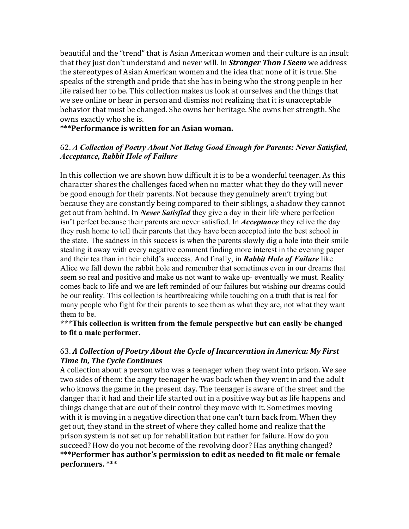beautiful and the "trend" that is Asian American women and their culture is an insult that they just don't understand and never will. In **Stronger Than I Seem** we address the stereotypes of Asian American women and the idea that none of it is true. She speaks of the strength and pride that she has in being who the strong people in her life raised her to be. This collection makes us look at ourselves and the things that we see online or hear in person and dismiss not realizing that it is unacceptable behavior that must be changed. She owns her heritage. She owns her strength. She owns exactly who she is.

\*\*\*Performance is written for an Asian woman.

### 62. *A Collection of Poetry About Not Being Good Enough for Parents: Never Satisfied, Acceptance, Rabbit Hole of Failure*

In this collection we are shown how difficult it is to be a wonderful teenager. As this character shares the challenges faced when no matter what they do they will never be good enough for their parents. Not because they genuinely aren't trying but because they are constantly being compared to their siblings, a shadow they cannot get out from behind. In *Never Satisfied* they give a day in their life where perfection isn't perfect because their parents are never satisfied. In *Acceptance* they relive the day they rush home to tell their parents that they have been accepted into the best school in the state. The sadness in this success is when the parents slowly dig a hole into their smile stealing it away with every negative comment finding more interest in the evening paper and their tea than in their child's success. And finally, in *Rabbit Hole of Failure* like Alice we fall down the rabbit hole and remember that sometimes even in our dreams that seem so real and positive and make us not want to wake up- eventually we must. Reality comes back to life and we are left reminded of our failures but wishing our dreams could be our reality. This collection is heartbreaking while touching on a truth that is real for many people who fight for their parents to see them as what they are, not what they want them to be.

**\*\*\*This collection is written from the female perspective but can easily be changed to fit a male performer.**

## 63. A Collection of Poetry About the Cycle of Incarceration in America: My First **Time In, The Cycle Continues**

A collection about a person who was a teenager when they went into prison. We see two sides of them: the angry teenager he was back when they went in and the adult who knows the game in the present day. The teenager is aware of the street and the danger that it had and their life started out in a positive way but as life happens and things change that are out of their control they move with it. Sometimes moving with it is moving in a negative direction that one can't turn back from. When they get out, they stand in the street of where they called home and realize that the prison system is not set up for rehabilitation but rather for failure. How do you succeed? How do you not become of the revolving door? Has anything changed? \*\*\*Performer has author's permission to edit as needed to fit male or female **performers. \*\*\***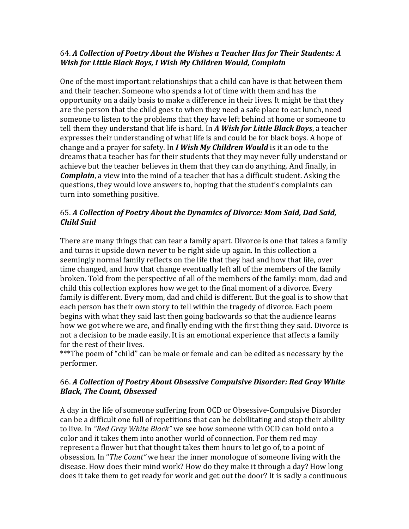## 64. A Collection of Poetry About the Wishes a Teacher Has for Their Students: A *Wish for Little Black Boys, I Wish My Children Would, Complain*

One of the most important relationships that a child can have is that between them and their teacher. Someone who spends a lot of time with them and has the opportunity on a daily basis to make a difference in their lives. It might be that they are the person that the child goes to when they need a safe place to eat lunch, need someone to listen to the problems that they have left behind at home or someone to tell them they understand that life is hard. In A Wish for Little Black Boys, a teacher expresses their understanding of what life is and could be for black boys. A hope of change and a prayer for safety. In *I Wish My Children Would* is it an ode to the dreams that a teacher has for their students that they may never fully understand or achieve but the teacher believes in them that they can do anything. And finally, in *Complain*, a view into the mind of a teacher that has a difficult student. Asking the questions, they would love answers to, hoping that the student's complaints can turn into something positive.

# 65. A Collection of Poetry About the Dynamics of Divorce: Mom Said, Dad Said, *Child Said*

There are many things that can tear a family apart. Divorce is one that takes a family and turns it upside down never to be right side up again. In this collection a seemingly normal family reflects on the life that they had and how that life, over time changed, and how that change eventually left all of the members of the family broken. Told from the perspective of all of the members of the family: mom, dad and child this collection explores how we get to the final moment of a divorce. Every family is different. Every mom, dad and child is different. But the goal is to show that each person has their own story to tell within the tragedy of divorce. Each poem begins with what they said last then going backwards so that the audience learns how we got where we are, and finally ending with the first thing they said. Divorce is not a decision to be made easily. It is an emotional experience that affects a family for the rest of their lives.

\*\*\*The poem of "child" can be male or female and can be edited as necessary by the performer.

# 66. A Collection of Poetry About Obsessive Compulsive Disorder: Red Gray White *Black, The Count, Obsessed*

A day in the life of someone suffering from OCD or Obsessive-Compulsive Disorder can be a difficult one full of repetitions that can be debilitating and stop their ability to live. In *"Red Gray White Black"* we see how someone with OCD can hold onto a color and it takes them into another world of connection. For them red may represent a flower but that thought takes them hours to let go of, to a point of obsession. In "*The Count*" we hear the inner monologue of someone living with the disease. How does their mind work? How do they make it through a day? How long does it take them to get ready for work and get out the door? It is sadly a continuous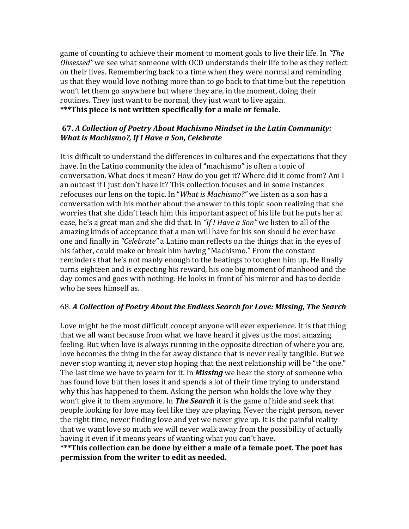game of counting to achieve their moment to moment goals to live their life. In "The Obsessed" we see what someone with OCD understands their life to be as they reflect on their lives. Remembering back to a time when they were normal and reminding us that they would love nothing more than to go back to that time but the repetition won't let them go anywhere but where they are, in the moment, doing their routines. They just want to be normal, they just want to live again. \*\*\*This piece is not written specifically for a male or female.

## **67.** *A* Collection of Poetry About Machismo Mindset in the Latin Community: *What is Machismo?, If I Have a Son, Celebrate*

It is difficult to understand the differences in cultures and the expectations that they have. In the Latino community the idea of "machismo" is often a topic of conversation. What does it mean? How do you get it? Where did it come from? Am I an outcast if I just don't have it? This collection focuses and in some instances refocuses our lens on the topic. In "*What is Machismo?"* we listen as a son has a conversation with his mother about the answer to this topic soon realizing that she worries that she didn't teach him this important aspect of his life but he puts her at ease, he's a great man and she did that. In "If I Have a Son" we listen to all of the amazing kinds of acceptance that a man will have for his son should he ever have one and finally in "*Celebrate*" a Latino man reflects on the things that in the eyes of his father, could make or break him having "Machismo." From the constant reminders that he's not manly enough to the beatings to toughen him up. He finally turns eighteen and is expecting his reward, his one big moment of manhood and the day comes and goes with nothing. He looks in front of his mirror and has to decide who he sees himself as.

# 68. A Collection of Poetry About the Endless Search for Love: Missing, The Search

Love might be the most difficult concept anyone will ever experience. It is that thing that we all want because from what we have heard it gives us the most amazing feeling. But when love is always running in the opposite direction of where you are, love becomes the thing in the far away distance that is never really tangible. But we never stop wanting it, never stop hoping that the next relationship will be "the one." The last time we have to yearn for it. In *Missing* we hear the story of someone who has found love but then loses it and spends a lot of their time trying to understand why this has happened to them. Asking the person who holds the love why they won't give it to them anymore. In **The Search** it is the game of hide and seek that people looking for love may feel like they are playing. Never the right person, never the right time, never finding love and yet we never give up. It is the painful reality that we want love so much we will never walk away from the possibility of actually having it even if it means years of wanting what you can't have.

\*\*\*This collection can be done by either a male of a female poet. The poet has **permission from the writer to edit as needed.**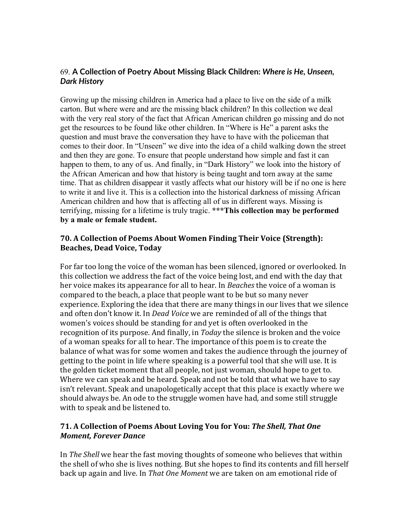# 69. **A Collection of Poetry About Missing Black Children:** *Where is He, Unseen, Dark History*

Growing up the missing children in America had a place to live on the side of a milk carton. But where were and are the missing black children? In this collection we deal with the very real story of the fact that African American children go missing and do not get the resources to be found like other children. In "Where is He" a parent asks the question and must brave the conversation they have to have with the policeman that comes to their door. In "Unseen" we dive into the idea of a child walking down the street and then they are gone. To ensure that people understand how simple and fast it can happen to them, to any of us. And finally, in "Dark History" we look into the history of the African American and how that history is being taught and torn away at the same time. That as children disappear it vastly affects what our history will be if no one is here to write it and live it. This is a collection into the historical darkness of missing African American children and how that is affecting all of us in different ways. Missing is terrifying, missing for a lifetime is truly tragic. **\*\*\*This collection may be performed by a male or female student.**

## **70. A Collection of Poems About Women Finding Their Voice (Strength): Beaches, Dead Voice, Today**

For far too long the voice of the woman has been silenced, ignored or overlooked. In this collection we address the fact of the voice being lost, and end with the day that her voice makes its appearance for all to hear. In *Beaches* the voice of a woman is compared to the beach, a place that people want to be but so many never experience. Exploring the idea that there are many things in our lives that we silence and often don't know it. In *Dead Voice* we are reminded of all of the things that women's voices should be standing for and yet is often overlooked in the recognition of its purpose. And finally, in *Today* the silence is broken and the voice of a woman speaks for all to hear. The importance of this poem is to create the balance of what was for some women and takes the audience through the journey of getting to the point in life where speaking is a powerful tool that she will use. It is the golden ticket moment that all people, not just woman, should hope to get to. Where we can speak and be heard. Speak and not be told that what we have to say isn't relevant. Speak and unapologetically accept that this place is exactly where we should always be. An ode to the struggle women have had, and some still struggle with to speak and be listened to.

# **71.** A Collection of Poems About Loving You for You: The Shell, That One *Moment, Forever Dance*

In *The Shell* we hear the fast moving thoughts of someone who believes that within the shell of who she is lives nothing. But she hopes to find its contents and fill herself back up again and live. In *That One Moment* we are taken on am emotional ride of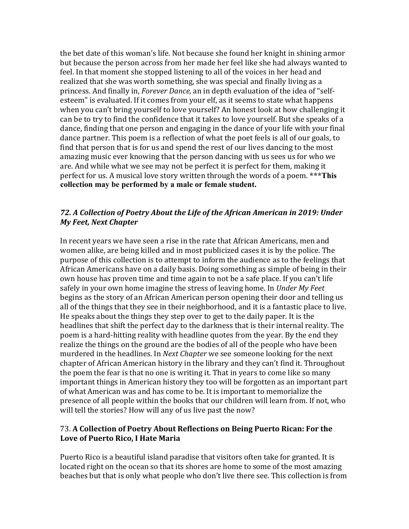the bet date of this woman's life. Not because she found her knight in shining armor but because the person across from her made her feel like she had always wanted to feel. In that moment she stopped listening to all of the voices in her head and realized that she was worth something, she was special and finally living as a princess. And finally in, *Forever Dance*, an in depth evaluation of the idea of "selfesteem" is evaluated. If it comes from your elf, as it seems to state what happens when you can't bring yourself to love yourself? An honest look at how challenging it can be to try to find the confidence that it takes to love yourself. But she speaks of a dance, finding that one person and engaging in the dance of your life with your final dance partner. This poem is a reflection of what the poet feels is all of our goals, to find that person that is for us and spend the rest of our lives dancing to the most amazing music ever knowing that the person dancing with us sees us for who we are. And while what we see may not be perfect it is perfect for them, making it perfect for us. A musical love story written through the words of a poem. \*\*\*This **collection may be performed by a male or female student.**

### 72. A Collection of Poetry About the Life of the African American in 2019: Under *My Feet, Next Chapter*

In recent years we have seen a rise in the rate that African Americans, men and women alike, are being killed and in most publicized cases it is by the police. The purpose of this collection is to attempt to inform the audience as to the feelings that African Americans have on a daily basis. Doing something as simple of being in their own house has proven time and time again to not be a safe place. If you can't life safely in your own home imagine the stress of leaving home. In *Under My Feet* begins as the story of an African American person opening their door and telling us all of the things that they see in their neighborhood, and it is a fantastic place to live. He speaks about the things they step over to get to the daily paper. It is the headlines that shift the perfect day to the darkness that is their internal reality. The poem is a hard-hitting reality with headline quotes from the year. By the end they realize the things on the ground are the bodies of all of the people who have been murdered in the headlines. In *Next Chapter* we see someone looking for the next chapter of African American history in the library and they can't find it. Throughout the poem the fear is that no one is writing it. That in years to come like so many important things in American history they too will be forgotten as an important part of what American was and has come to be. It is important to memorialize the presence of all people within the books that our children will learn from. If not, who will tell the stories? How will any of us live past the now?

#### 73. A Collection of Poetry About Reflections on Being Puerto Rican: For the Love of Puerto Rico, I Hate Maria

Puerto Rico is a beautiful island paradise that visitors often take for granted. It is located right on the ocean so that its shores are home to some of the most amazing beaches but that is only what people who don't live there see. This collection is from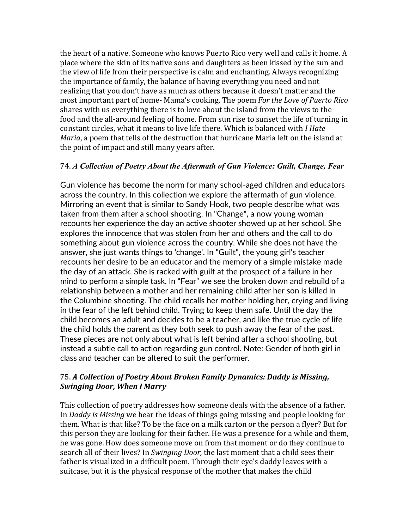the heart of a native. Someone who knows Puerto Rico very well and calls it home. A place where the skin of its native sons and daughters as been kissed by the sun and the view of life from their perspective is calm and enchanting. Always recognizing the importance of family, the balance of having everything you need and not realizing that you don't have as much as others because it doesn't matter and the most important part of home- Mama's cooking. The poem *For the Love of Puerto Rico* shares with us everything there is to love about the island from the views to the food and the all-around feeling of home. From sun rise to sunset the life of turning in constant circles, what it means to live life there. Which is balanced with *I Hate Maria*, a poem that tells of the destruction that hurricane Maria left on the island at the point of impact and still many years after.

## 74. *A Collection of Poetry About the Aftermath of Gun Violence: Guilt, Change, Fear*

Gun violence has become the norm for many school-aged children and educators across the country. In this collection we explore the aftermath of gun violence. Mirroring an event that is similar to Sandy Hook, two people describe what was taken from them after a school shooting. In "Change", a now young woman recounts her experience the day an active shooter showed up at her school. She explores the innocence that was stolen from her and others and the call to do something about gun violence across the country. While she does not have the answer, she just wants things to 'change'. In "Guilt", the young girl's teacher recounts her desire to be an educator and the memory of a simple mistake made the day of an attack. She is racked with guilt at the prospect of a failure in her mind to perform a simple task. In "Fear" we see the broken down and rebuild of a relationship between a mother and her remaining child after her son is killed in the Columbine shooting. The child recalls her mother holding her, crying and living in the fear of the left behind child. Trying to keep them safe. Until the day the child becomes an adult and decides to be a teacher, and like the true cycle of life the child holds the parent as they both seek to push away the fear of the past. These pieces are not only about what is left behind after a school shooting, but instead a subtle call to action regarding gun control. Note: Gender of both girl in class and teacher can be altered to suit the performer.

# 75. A Collection of Poetry About Broken Family Dynamics: Daddy is Missing, *Swinging Door, When I Marry*

This collection of poetry addresses how someone deals with the absence of a father. In *Daddy* is *Missing* we hear the ideas of things going missing and people looking for them. What is that like? To be the face on a milk carton or the person a flyer? But for this person they are looking for their father. He was a presence for a while and them, he was gone. How does someone move on from that moment or do they continue to search all of their lives? In *Swinging Door*, the last moment that a child sees their father is visualized in a difficult poem. Through their eye's daddy leaves with a suitcase, but it is the physical response of the mother that makes the child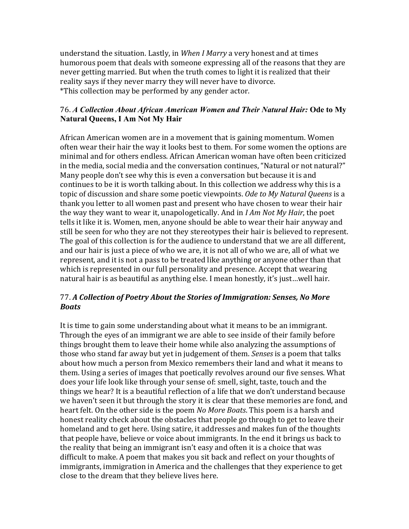understand the situation. Lastly, in *When I Marry* a very honest and at times humorous poem that deals with someone expressing all of the reasons that they are never getting married. But when the truth comes to light it is realized that their reality says if they never marry they will never have to divorce. \*This collection may be performed by any gender actor.

## 76. *A Collection About African American Women and Their Natural Hair:* **Ode to My Natural Queens, I Am Not My Hair**

African American women are in a movement that is gaining momentum. Women often wear their hair the way it looks best to them. For some women the options are minimal and for others endless. African American woman have often been criticized in the media, social media and the conversation continues, "Natural or not natural?" Many people don't see why this is even a conversation but because it is and continues to be it is worth talking about. In this collection we address why this is a topic of discussion and share some poetic viewpoints. Ode to My Natural Queens is a thank you letter to all women past and present who have chosen to wear their hair the way they want to wear it, unapologetically. And in *I Am Not My Hair*, the poet tells it like it is. Women, men, anyone should be able to wear their hair anyway and still be seen for who they are not they stereotypes their hair is believed to represent. The goal of this collection is for the audience to understand that we are all different, and our hair is just a piece of who we are, it is not all of who we are, all of what we represent, and it is not a pass to be treated like anything or anyone other than that which is represented in our full personality and presence. Accept that wearing natural hair is as beautiful as anything else. I mean honestly, it's just...well hair.

# 77. A Collection of Poetry About the Stories of Immigration: Senses, No More *Boats*

It is time to gain some understanding about what it means to be an immigrant. Through the eyes of an immigrant we are able to see inside of their family before things brought them to leave their home while also analyzing the assumptions of those who stand far away but yet in judgement of them. *Senses* is a poem that talks about how much a person from Mexico remembers their land and what it means to them. Using a series of images that poetically revolves around our five senses. What does your life look like through your sense of: smell, sight, taste, touch and the things we hear? It is a beautiful reflection of a life that we don't understand because we haven't seen it but through the story it is clear that these memories are fond, and heart felt. On the other side is the poem *No More Boats*. This poem is a harsh and honest reality check about the obstacles that people go through to get to leave their homeland and to get here. Using satire, it addresses and makes fun of the thoughts that people have, believe or voice about immigrants. In the end it brings us back to the reality that being an immigrant isn't easy and often it is a choice that was difficult to make. A poem that makes you sit back and reflect on your thoughts of immigrants, immigration in America and the challenges that they experience to get close to the dream that they believe lives here.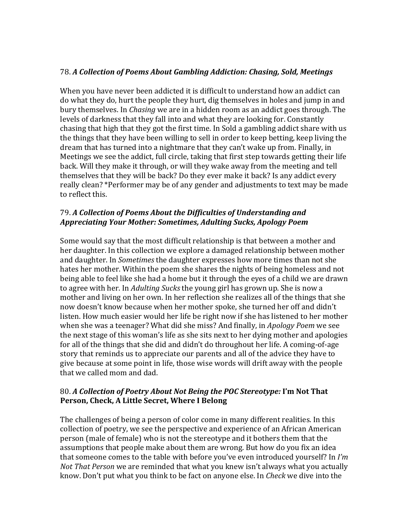## 78. *A Collection of Poems About Gambling Addiction: Chasing, Sold, Meetings*

When you have never been addicted it is difficult to understand how an addict can do what they do, hurt the people they hurt, dig themselves in holes and jump in and bury themselves. In *Chasing* we are in a hidden room as an addict goes through. The levels of darkness that they fall into and what they are looking for. Constantly chasing that high that they got the first time. In Sold a gambling addict share with us the things that they have been willing to sell in order to keep betting, keep living the dream that has turned into a nightmare that they can't wake up from. Finally, in Meetings we see the addict, full circle, taking that first step towards getting their life back. Will they make it through, or will they wake away from the meeting and tell themselves that they will be back? Do they ever make it back? Is any addict every really clean? \*Performer may be of any gender and adjustments to text may be made to reflect this.

# 79. A Collection of Poems About the Difficulties of Understanding and *Appreciating Your Mother: Sometimes, Adulting Sucks, Apology Poem*

Some would say that the most difficult relationship is that between a mother and her daughter. In this collection we explore a damaged relationship between mother and daughter. In *Sometimes* the daughter expresses how more times than not she hates her mother. Within the poem she shares the nights of being homeless and not being able to feel like she had a home but it through the eyes of a child we are drawn to agree with her. In *Adulting Sucks* the young girl has grown up. She is now a mother and living on her own. In her reflection she realizes all of the things that she now doesn't know because when her mother spoke, she turned her off and didn't listen. How much easier would her life be right now if she has listened to her mother when she was a teenager? What did she miss? And finally, in *Apology Poem* we see the next stage of this woman's life as she sits next to her dying mother and apologies for all of the things that she did and didn't do throughout her life. A coming-of-age story that reminds us to appreciate our parents and all of the advice they have to give because at some point in life, those wise words will drift away with the people that we called mom and dad.

## 80. A Collection of Poetry About Not Being the POC Stereotype: I'm Not That Person, Check, A Little Secret, Where I Belong

The challenges of being a person of color come in many different realities. In this collection of poetry, we see the perspective and experience of an African American person (male of female) who is not the stereotype and it bothers them that the assumptions that people make about them are wrong. But how do you fix an idea that someone comes to the table with before you've even introduced yourself? In *I'm Not That Person* we are reminded that what you knew isn't always what you actually know. Don't put what you think to be fact on anyone else. In *Check* we dive into the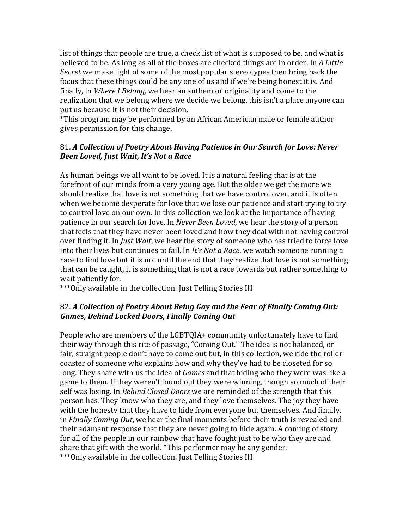list of things that people are true, a check list of what is supposed to be, and what is believed to be. As long as all of the boxes are checked things are in order. In A Little *Secret* we make light of some of the most popular stereotypes then bring back the focus that these things could be any one of us and if we're being honest it is. And finally, in *Where I Belong*, we hear an anthem or originality and come to the realization that we belong where we decide we belong, this isn't a place anyone can put us because it is not their decision.

\*This program may be performed by an African American male or female author gives permission for this change.

## 81. A Collection of Poetry About Having Patience in Our Search for Love: Never *Been Loved, Just Wait, It's Not a Race*

As human beings we all want to be loved. It is a natural feeling that is at the forefront of our minds from a very young age. But the older we get the more we should realize that love is not something that we have control over, and it is often when we become desperate for love that we lose our patience and start trying to try to control love on our own. In this collection we look at the importance of having patience in our search for love. In *Never Been Loved*, we hear the story of a person that feels that they have never been loved and how they deal with not having control over finding it. In *Just Wait*, we hear the story of someone who has tried to force love into their lives but continues to fail. In *It's Not a Race*, we watch someone running a race to find love but it is not until the end that they realize that love is not something that can be caught, it is something that is not a race towards but rather something to wait patiently for.

\*\*\*Only available in the collection: Just Telling Stories III

# 82. A Collection of Poetry About Being Gay and the Fear of Finally Coming Out: **Games, Behind Locked Doors, Finally Coming Out**

People who are members of the LGBTQIA+ community unfortunately have to find their way through this rite of passage, "Coming Out." The idea is not balanced, or fair, straight people don't have to come out but, in this collection, we ride the roller coaster of someone who explains how and why they've had to be closeted for so long. They share with us the idea of *Games* and that hiding who they were was like a game to them. If they weren't found out they were winning, though so much of their self was losing. In *Behind Closed Doors* we are reminded of the strength that this person has. They know who they are, and they love themselves. The joy they have with the honesty that they have to hide from everyone but themselves. And finally, in *Finally Coming Out*, we hear the final moments before their truth is revealed and their adamant response that they are never going to hide again. A coming of story for all of the people in our rainbow that have fought just to be who they are and share that gift with the world. \*This performer may be any gender. \*\*\*Only available in the collection: Just Telling Stories III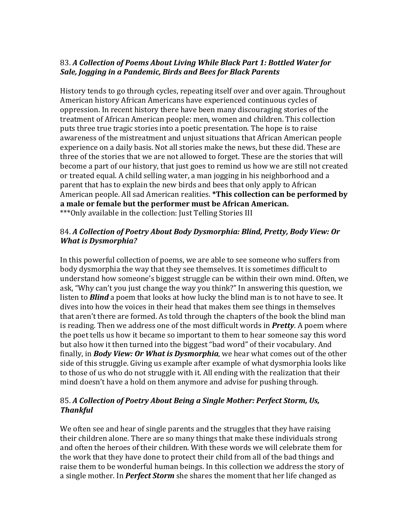# 83. A Collection of Poems About Living While Black Part 1: Bottled Water for Sale, Jogging in a Pandemic, Birds and Bees for Black Parents

History tends to go through cycles, repeating itself over and over again. Throughout American history African Americans have experienced continuous cycles of oppression. In recent history there have been many discouraging stories of the treatment of African American people: men, women and children. This collection puts three true tragic stories into a poetic presentation. The hope is to raise awareness of the mistreatment and unjust situations that African American people experience on a daily basis. Not all stories make the news, but these did. These are three of the stories that we are not allowed to forget. These are the stories that will become a part of our history, that just goes to remind us how we are still not created or treated equal. A child selling water, a man jogging in his neighborhood and a parent that has to explain the new birds and bees that only apply to African American people. All sad American realities. **\*This collection can be performed by** a male or female but the performer must be African American. \*\*\* Only available in the collection: Just Telling Stories III

## 84. A Collection of Poetry About Body Dysmorphia: Blind, Pretty, Body View: Or *What is Dysmorphia?*

In this powerful collection of poems, we are able to see someone who suffers from body dysmorphia the way that they see themselves. It is sometimes difficult to understand how someone's biggest struggle can be within their own mind. Often, we ask, "Why can't you just change the way you think?" In answering this question, we listen to **Blind** a poem that looks at how lucky the blind man is to not have to see. It dives into how the voices in their head that makes them see things in themselves that aren't there are formed. As told through the chapters of the book the blind man is reading. Then we address one of the most difficult words in **Pretty**. A poem where the poet tells us how it became so important to them to hear someone say this word but also how it then turned into the biggest "bad word" of their vocabulary. And finally, in *Body View: Or What is Dysmorphia*, we hear what comes out of the other side of this struggle. Giving us example after example of what dysmorphia looks like to those of us who do not struggle with it. All ending with the realization that their mind doesn't have a hold on them anymore and advise for pushing through.

# 85. A Collection of Poetry About Being a Single Mother: Perfect Storm, Us, *Thankful*

We often see and hear of single parents and the struggles that they have raising their children alone. There are so many things that make these individuals strong and often the heroes of their children. With these words we will celebrate them for the work that they have done to protect their child from all of the bad things and raise them to be wonderful human beings. In this collection we address the story of a single mother. In *Perfect Storm* she shares the moment that her life changed as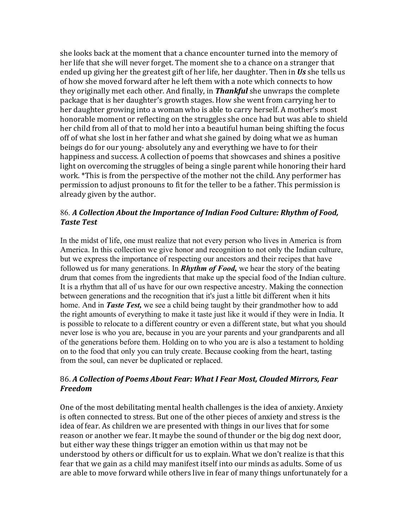she looks back at the moment that a chance encounter turned into the memory of her life that she will never forget. The moment she to a chance on a stranger that ended up giving her the greatest gift of her life, her daughter. Then in Us she tells us of how she moved forward after he left them with a note which connects to how they originally met each other. And finally, in **Thankful** she unwraps the complete package that is her daughter's growth stages. How she went from carrying her to her daughter growing into a woman who is able to carry herself. A mother's most honorable moment or reflecting on the struggles she once had but was able to shield her child from all of that to mold her into a beautiful human being shifting the focus off of what she lost in her father and what she gained by doing what we as human beings do for our young- absolutely any and everything we have to for their happiness and success. A collection of poems that showcases and shines a positive light on overcoming the struggles of being a single parent while honoring their hard work. \*This is from the perspective of the mother not the child. Any performer has permission to adjust pronouns to fit for the teller to be a father. This permission is already given by the author.

# 86. A Collection About the Importance of Indian Food Culture: Rhythm of Food, *Taste Test*

In the midst of life, one must realize that not every person who lives in America is from America. In this collection we give honor and recognition to not only the Indian culture, but we express the importance of respecting our ancestors and their recipes that have followed us for many generations. In *Rhythm of Food,* we hear the story of the beating drum that comes from the ingredients that make up the special food of the Indian culture. It is a rhythm that all of us have for our own respective ancestry. Making the connection between generations and the recognition that it's just a little bit different when it hits home. And in *Taste Test,* we see a child being taught by their grandmother how to add the right amounts of everything to make it taste just like it would if they were in India. It is possible to relocate to a different country or even a different state, but what you should never lose is who you are, because in you are your parents and your grandparents and all of the generations before them. Holding on to who you are is also a testament to holding on to the food that only you can truly create. Because cooking from the heart, tasting from the soul, can never be duplicated or replaced.

# 86. A Collection of Poems About Fear: What I Fear Most, Clouded Mirrors, Fear *Freedom*

One of the most debilitating mental health challenges is the idea of anxiety. Anxiety is often connected to stress. But one of the other pieces of anxiety and stress is the idea of fear. As children we are presented with things in our lives that for some reason or another we fear. It maybe the sound of thunder or the big dog next door, but either way these things trigger an emotion within us that may not be understood by others or difficult for us to explain. What we don't realize is that this fear that we gain as a child may manifest itself into our minds as adults. Some of us are able to move forward while others live in fear of many things unfortunately for a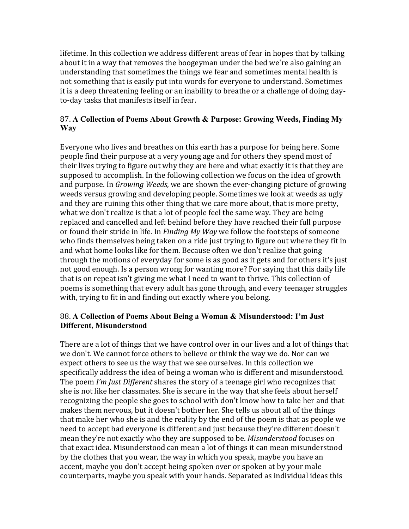lifetime. In this collection we address different areas of fear in hopes that by talking about it in a way that removes the boogeyman under the bed we're also gaining an understanding that sometimes the things we fear and sometimes mental health is not something that is easily put into words for everyone to understand. Sometimes it is a deep threatening feeling or an inability to breathe or a challenge of doing dayto-day tasks that manifests itself in fear.

# 87. **A Collection of Poems About Growth & Purpose: Growing Weeds, Finding My Way**

Everyone who lives and breathes on this earth has a purpose for being here. Some people find their purpose at a very young age and for others they spend most of their lives trying to figure out why they are here and what exactly it is that they are supposed to accomplish. In the following collection we focus on the idea of growth and purpose. In *Growing Weeds*, we are shown the ever-changing picture of growing weeds versus growing and developing people. Sometimes we look at weeds as ugly and they are ruining this other thing that we care more about, that is more pretty, what we don't realize is that a lot of people feel the same way. They are being replaced and cancelled and left behind before they have reached their full purpose or found their stride in life. In *Finding My Way* we follow the footsteps of someone who finds themselves being taken on a ride just trying to figure out where they fit in and what home looks like for them. Because often we don't realize that going through the motions of everyday for some is as good as it gets and for others it's just not good enough. Is a person wrong for wanting more? For saying that this daily life that is on repeat isn't giving me what I need to want to thrive. This collection of poems is something that every adult has gone through, and every teenager struggles with, trying to fit in and finding out exactly where you belong.

# 88. **A Collection of Poems About Being a Woman & Misunderstood: I'm Just Different, Misunderstood**

There are a lot of things that we have control over in our lives and a lot of things that we don't. We cannot force others to believe or think the way we do. Nor can we expect others to see us the way that we see ourselves. In this collection we specifically address the idea of being a woman who is different and misunderstood. The poem I'm Just Different shares the story of a teenage girl who recognizes that she is not like her classmates. She is secure in the way that she feels about herself recognizing the people she goes to school with don't know how to take her and that makes them nervous, but it doesn't bother her. She tells us about all of the things that make her who she is and the reality by the end of the poem is that as people we need to accept bad everyone is different and just because they're different doesn't mean they're not exactly who they are supposed to be. *Misunderstood* focuses on that exact idea. Misunderstood can mean a lot of things it can mean misunderstood by the clothes that you wear, the way in which you speak, maybe you have an accent, maybe you don't accept being spoken over or spoken at by your male counterparts, maybe you speak with your hands. Separated as individual ideas this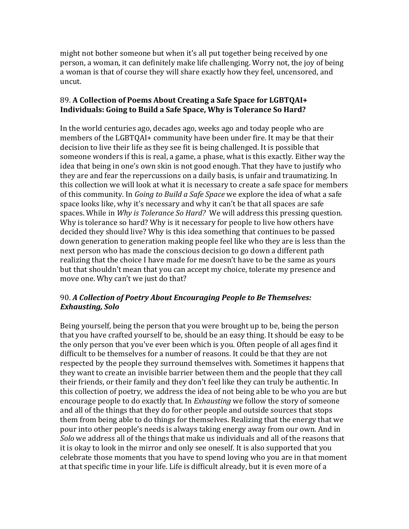might not bother someone but when it's all put together being received by one person, a woman, it can definitely make life challenging. Worry not, the joy of being a woman is that of course they will share exactly how they feel, uncensored, and uncut.

## 89. A Collection of Poems About Creating a Safe Space for LGBTOAI+ **Individuals: Going to Build a Safe Space, Why is Tolerance So Hard?**

In the world centuries ago, decades ago, weeks ago and today people who are members of the LGBTQAI+ community have been under fire. It may be that their decision to live their life as they see fit is being challenged. It is possible that someone wonders if this is real, a game, a phase, what is this exactly. Either way the idea that being in one's own skin is not good enough. That they have to justify who they are and fear the repercussions on a daily basis, is unfair and traumatizing. In this collection we will look at what it is necessary to create a safe space for members of this community. In *Going to Build a Safe Space* we explore the idea of what a safe space looks like, why it's necessary and why it can't be that all spaces are safe spaces. While in *Why is Tolerance So Hard?* We will address this pressing question. Why is tolerance so hard? Why is it necessary for people to live how others have decided they should live? Why is this idea something that continues to be passed down generation to generation making people feel like who they are is less than the next person who has made the conscious decision to go down a different path realizing that the choice I have made for me doesn't have to be the same as yours but that shouldn't mean that you can accept my choice, tolerate my presence and move one. Why can't we just do that?

# 90. A Collection of Poetry About Encouraging People to Be Themselves: **Exhausting, Solo**

Being yourself, being the person that you were brought up to be, being the person that you have crafted yourself to be, should be an easy thing. It should be easy to be the only person that you've ever been which is you. Often people of all ages find it difficult to be themselves for a number of reasons. It could be that they are not respected by the people they surround themselves with. Sometimes it happens that they want to create an invisible barrier between them and the people that they call their friends, or their family and they don't feel like they can truly be authentic. In this collection of poetry, we address the idea of not being able to be who you are but encourage people to do exactly that. In *Exhausting* we follow the story of someone and all of the things that they do for other people and outside sources that stops them from being able to do things for themselves. Realizing that the energy that we pour into other people's needs is always taking energy away from our own. And in *Solo* we address all of the things that make us individuals and all of the reasons that it is okay to look in the mirror and only see oneself. It is also supported that you celebrate those moments that you have to spend loving who you are in that moment at that specific time in your life. Life is difficult already, but it is even more of a